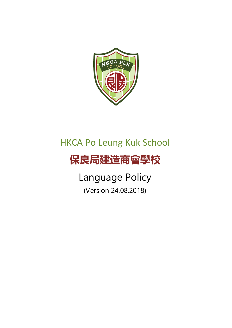

# HKCA Po Leung Kuk School

# **保良局建造商會學校**

Language Policy (Version 24.08.2018)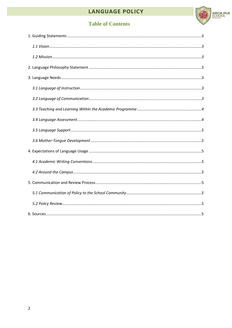# LANGUAGE POLICY



# **Table of Contents**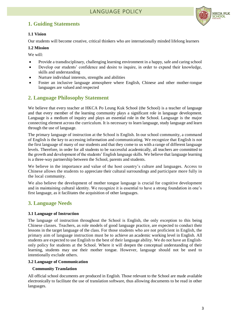# <span id="page-2-0"></span>**1. Guiding Statements**



## <span id="page-2-1"></span>**1.1 Vision**

Our students will become creative, critical thinkers who are internationally minded lifelong learners

## <span id="page-2-2"></span>**1.2 Mission**

We will:

- Provide a transdisciplinary, challenging learning environment in a happy, safe and caring school
- Develop our students' confidence and desire to inquire, in order to expand their knowledge, skills and understanding
- Nurture individual interests, strengths and abilities
- Foster an inclusive language atmosphere where English, Chinese and other mother-tongue languages are valued and respected

# <span id="page-2-3"></span>**2. Language Philosophy Statement**

We believe that every teacher at HKCA Po Leung Kuk School (the School) is a teacher of language and that every member of the learning community plays a significant role in language development. Language is a medium of inquiry and plays an essential role in the School. Language is the major connecting element across the curriculum. It is necessary to learn language, study language and learn through the use of language.

The primary language of instruction at the School is English. In our school community, a command of English is the key to accessing information and communicating. We recognize that English is not the first language of many of our students and that they come to us with a range of different language levels. Therefore, in order for all students to be successful academically, all teachers are committed to the growth and development of the students' English language skills. We believe that language learning is a three-way partnership between the School, parents and students.

We believe in the importance and value of the host country's culture and languages. Access to Chinese allows the students to appreciate their cultural surroundings and participate more fully in the local community.

We also believe the development of mother tongue language is crucial for cognitive development and in maintaining cultural identity. We recognize it is essential to have a strong foundation in one's first language, as it facilitates the acquisition of other languages.

# <span id="page-2-4"></span>**3. Language Needs**

## <span id="page-2-5"></span>**3.1 Language of Instruction**

The language of instruction throughout the School is English, the only exception to this being Chinese classes. Teachers, as role models of good language practice, are expected to conduct their lessons in the target language of the class. For those students who are not proficient in English, the primary aim of language instruction must be to achieve an academic working level in English. All students are expected to use English to the best of their language ability. We do not have an Englishonly policy for students at the School. Where it will deepen the conceptual understanding of their learning, students may use their mother tongue. However, language should not be used to intentionally exclude others.

## <span id="page-2-6"></span>**3.2 Language of Communication**

## **Community Translation**

All official school documents are produced in English. Those relevant to the School are made available electronically to facilitate the use of translation software, thus allowing documents to be read in other languages.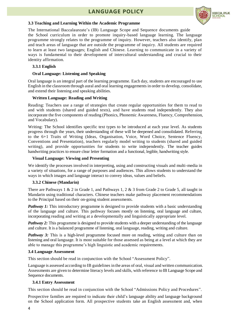# **LANGUAGE POLICY**



#### <span id="page-3-0"></span>**3.3 Teaching and Learning Within the Academic Programme**

The International Baccalaureate's (IB) Language Scope and Sequence documents guide the School curriculum in order to promote inquiry-based language learning. The language programme strongly relates to the programme of inquiry. However, teachers also identify, plan and teach areas of language that are outside the programme of inquiry. All students are required to learn at least two languages; English and Chinese. Learning to communicate in a variety of ways is fundamental to their development of intercultural understanding and crucial to their identity affirmation.

### **3.3.1 English**

#### **Oral Language: Listening and Speaking**

Oral language is an integral part of the learning programme. Each day, students are encouraged to use English in the classroom through aural and oral learning engagements in order to develop, consolidate, and extend their listening and speaking abilities.

#### **Written Language: Reading and Writing**

Reading: Teachers use a range of strategies that create regular opportunities for them to read to and with students (shared and guided texts), and have students read independently. They also incorporate the five components of reading (Phonics, Phonemic Awareness, Fluency, Comprehension, and Vocabulary).

Writing: The School identifies specific text types to be introduced at each year level. As students progress through the years, their understanding of these will be deepened and consolidated. Referring to the 6+1 Traits of Writing (Ideas, Organisation, Voice, Word Choice, Sentence Fluency, Conventions and Presentation), teachers regularly model writing to students (shared and guided writing), and provide opportunities for students to write independently. The teacher guides handwriting practices to ensure clear letter formation and a functional, legible, handwriting style.

#### **Visual Language: Viewing and Presenting**

We identify the processes involved in interpreting, using and constructing visuals and multi-media in a variety of situations, for a range of purposes and audiences. This allows students to understand the ways in which images and language interact to convey ideas, values and beliefs.

#### **3.3.2 Chinese (Mandarin)**

There are Pathways 1 & 2 in Grade 1, and Pathways 1, 2 & 3 from Grade 2 to Grade 5, all taught in Mandarin using traditional characters. Chinese teachers make pathway placement recommendations to the Principal based on their on-going student assessments.

*Pathway 1:* This introductory programme is designed to provide students with a basic understanding of the language and culture. This pathway focuses mostly on listening, oral language and culture, incorporating reading and writing at a developmentally and linguistically appropriate level.

*Pathway 2:* This programme is designed to provide students with a deeper understanding of the language and culture. It is a balanced programme of listening, oral language, reading, writing and culture.

*Pathway 3:* This is a high-level programme focused more on reading, writing and culture than on listening and oral language. It is most suitable for those assessed as being at a level at which they are able to manage this programme's high linguistic and academic requirements.

#### <span id="page-3-1"></span>**3.4 Language Assessment**

This section should be read in conjunction with the School "Assessment Policy".

Language is assessed according to IB guidelines in the areas of oral, visual and written communication. Assessments are given to determine literacy levels and skills, with reference to IB Language Scope and Sequence documents.

## **3.4.1 Entry Assessment**

This section should be read in conjunction with the School "Admissions Policy and Procedures".

Prospective families are required to indicate their child's language ability and language background on the School application form. All prospective students take an English assessment and, when